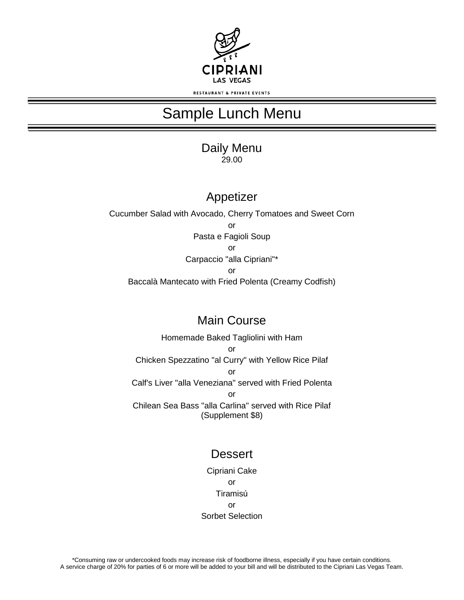

## Sample Lunch Menu

Daily Menu 29.00

#### Appetizer

Cucumber Salad with Avocado, Cherry Tomatoes and Sweet Corn or Pasta e Fagioli Soup or Carpaccio "alla Cipriani"\* or Baccalà Mantecato with Fried Polenta (Creamy Codfish)

#### Main Course

Homemade Baked Tagliolini with Ham or Chicken Spezzatino "al Curry" with Yellow Rice Pilaf or Calf's Liver "alla Veneziana" served with Fried Polenta or Chilean Sea Bass "alla Carlina" served with Rice Pilaf (Supplement \$8)

#### **Dessert**

Cipriani Cake or Tiramisú or Sorbet Selection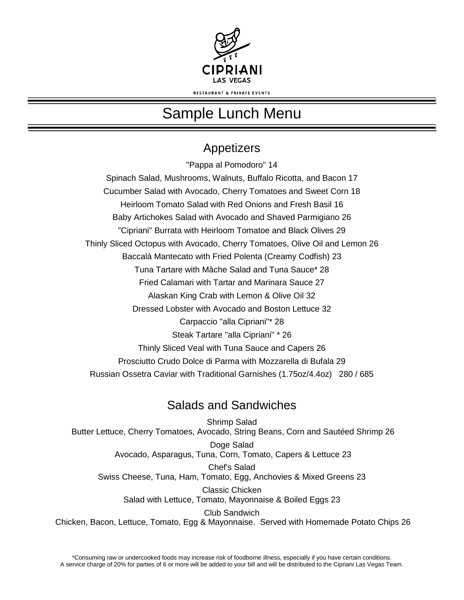

## Sample Lunch Menu

## Appetizers

"Pappa al Pomodoro" 14 Spinach Salad, Mushrooms, Walnuts, Buffalo Ricotta, and Bacon 17 Cucumber Salad with Avocado, Cherry Tomatoes and Sweet Corn 18 Heirloom Tomato Salad with Red Onions and Fresh Basil 16 Baby Artichokes Salad with Avocado and Shaved Parmigiano 26 "Cipriani" Burrata with Heirloom Tomatoe and Black Olives 29 Thinly Sliced Octopus with Avocado, Cherry Tomatoes, Olive Oil and Lemon 26 Baccalà Mantecato with Fried Polenta (Creamy Codfish) 23 Tuna Tartare with Mâche Salad and Tuna Sauce\* 28 Fried Calamari with Tartar and Marinara Sauce 27 Alaskan King Crab with Lemon & Olive Oil 32 Dressed Lobster with Avocado and Boston Lettuce 32 Carpaccio "alla Cipriani"\* 28 Steak Tartare "alla Cipriani" \* 26 Thinly Sliced Veal with Tuna Sauce and Capers 26 Prosciutto Crudo Dolce di Parma with Mozzarella di Bufala 29 Russian Ossetra Caviar with Traditional Garnishes (1.75oz/4.4oz) 280 / 685

### Salads and Sandwiches

Shrimp Salad Butter Lettuce, Cherry Tomatoes, Avocado, String Beans, Corn and Sautéed Shrimp 26 Doge Salad Avocado, Asparagus, Tuna, Corn, Tomato, Capers & Lettuce 23 Chef's Salad Swiss Cheese, Tuna, Ham, Tomato, Egg, Anchovies & Mixed Greens 23 Classic Chicken Salad with Lettuce, Tomato, Mayonnaise & Boiled Eggs 23 Club Sandwich

Chicken, Bacon, Lettuce, Tomato, Egg & Mayonnaise. Served with Homemade Potato Chips 26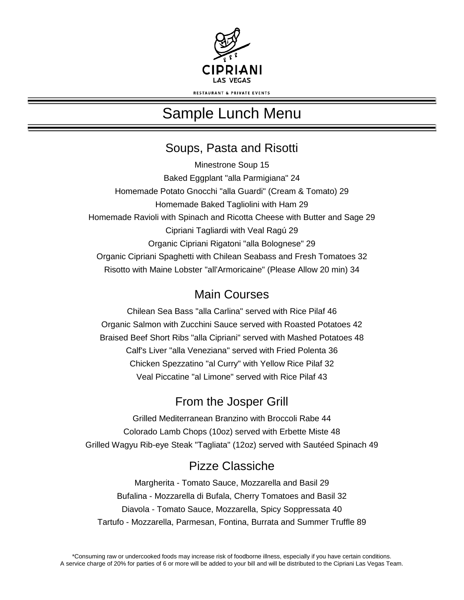

## Sample Lunch Menu

### Soups, Pasta and Risotti

Minestrone Soup 15 Baked Eggplant "alla Parmigiana" 24 Homemade Potato Gnocchi "alla Guardi" (Cream & Tomato) 29 Homemade Baked Tagliolini with Ham 29 Homemade Ravioli with Spinach and Ricotta Cheese with Butter and Sage 29 Cipriani Tagliardi with Veal Ragú 29 Organic Cipriani Rigatoni "alla Bolognese" 29 Organic Cipriani Spaghetti with Chilean Seabass and Fresh Tomatoes 32 Risotto with Maine Lobster "all'Armoricaine" (Please Allow 20 min) 34

#### Main Courses

Chilean Sea Bass "alla Carlina" served with Rice Pilaf 46 Organic Salmon with Zucchini Sauce served with Roasted Potatoes 42 Braised Beef Short Ribs "alla Cipriani" served with Mashed Potatoes 48 Calf's Liver "alla Veneziana" served with Fried Polenta 36 Chicken Spezzatino "al Curry" with Yellow Rice Pilaf 32 Veal Piccatine "al Limone" served with Rice Pilaf 43

### From the Josper Grill

Grilled Mediterranean Branzino with Broccoli Rabe 44 Colorado Lamb Chops (10oz) served with Erbette Miste 48 Grilled Wagyu Rib-eye Steak "Tagliata" (12oz) served with Sautéed Spinach 49

## Pizze Classiche

Margherita - Tomato Sauce, Mozzarella and Basil 29 Bufalina - Mozzarella di Bufala, Cherry Tomatoes and Basil 32 Diavola - Tomato Sauce, Mozzarella, Spicy Soppressata 40 Tartufo - Mozzarella, Parmesan, Fontina, Burrata and Summer Truffle 89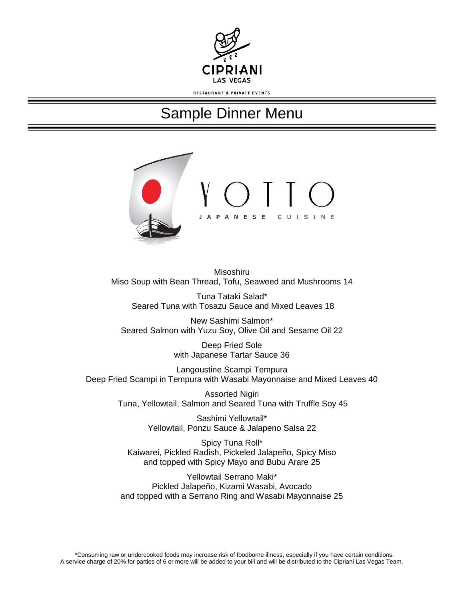



Misoshiru Miso Soup with Bean Thread, Tofu, Seaweed and Mushrooms 14

Tuna Tataki Salad\* Seared Tuna with Tosazu Sauce and Mixed Leaves 18

New Sashimi Salmon\* Seared Salmon with Yuzu Soy, Olive Oil and Sesame Oil 22

> Deep Fried Sole with Japanese Tartar Sauce 36

Langoustine Scampi Tempura Deep Fried Scampi in Tempura with Wasabi Mayonnaise and Mixed Leaves 40

> Assorted Nigiri Tuna, Yellowtail, Salmon and Seared Tuna with Truffle Soy 45

> > Sashimi Yellowtail\* Yellowtail, Ponzu Sauce & Jalapeno Salsa 22

Spicy Tuna Roll\* Kaiwarei, Pickled Radish, Pickeled Jalapeño, Spicy Miso and topped with Spicy Mayo and Bubu Arare 25

Yellowtail Serrano Maki\* Pickled Jalapeño, Kizami Wasabi, Avocado and topped with a Serrano Ring and Wasabi Mayonnaise 25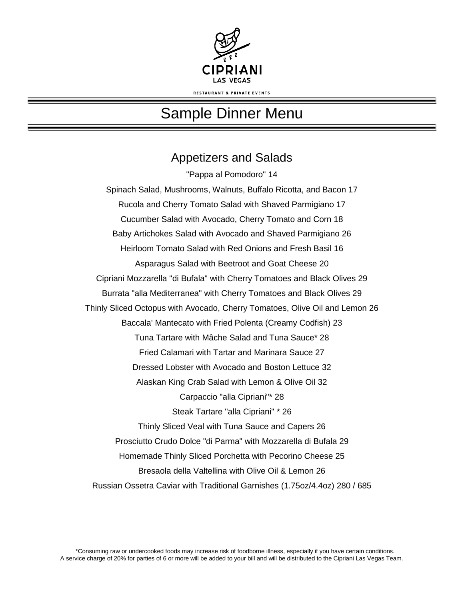

#### Appetizers and Salads

"Pappa al Pomodoro" 14 Spinach Salad, Mushrooms, Walnuts, Buffalo Ricotta, and Bacon 17 Rucola and Cherry Tomato Salad with Shaved Parmigiano 17 Cucumber Salad with Avocado, Cherry Tomato and Corn 18 Baby Artichokes Salad with Avocado and Shaved Parmigiano 26 Heirloom Tomato Salad with Red Onions and Fresh Basil 16 Asparagus Salad with Beetroot and Goat Cheese 20 Cipriani Mozzarella "di Bufala" with Cherry Tomatoes and Black Olives 29 Burrata "alla Mediterranea" with Cherry Tomatoes and Black Olives 29 Thinly Sliced Octopus with Avocado, Cherry Tomatoes, Olive Oil and Lemon 26 Baccala' Mantecato with Fried Polenta (Creamy Codfish) 23 Tuna Tartare with Mâche Salad and Tuna Sauce\* 28 Fried Calamari with Tartar and Marinara Sauce 27 Dressed Lobster with Avocado and Boston Lettuce 32 Alaskan King Crab Salad with Lemon & Olive Oil 32 Carpaccio "alla Cipriani"\* 28 Steak Tartare "alla Cipriani" \* 26 Thinly Sliced Veal with Tuna Sauce and Capers 26 Prosciutto Crudo Dolce "di Parma" with Mozzarella di Bufala 29 Homemade Thinly Sliced Porchetta with Pecorino Cheese 25 Bresaola della Valtellina with Olive Oil & Lemon 26 Russian Ossetra Caviar with Traditional Garnishes (1.75oz/4.4oz) 280 / 685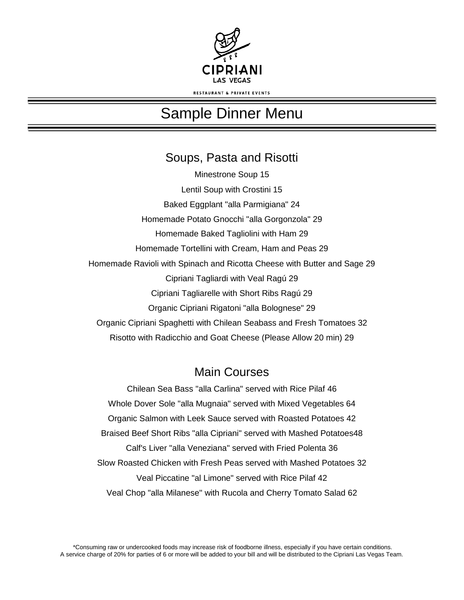

#### Soups, Pasta and Risotti

Minestrone Soup 15 Lentil Soup with Crostini 15 Baked Eggplant "alla Parmigiana" 24 Homemade Potato Gnocchi "alla Gorgonzola" 29 Homemade Baked Tagliolini with Ham 29 Homemade Tortellini with Cream, Ham and Peas 29 Homemade Ravioli with Spinach and Ricotta Cheese with Butter and Sage 29 Cipriani Tagliardi with Veal Ragú 29 Cipriani Tagliarelle with Short Ribs Ragú 29 Organic Cipriani Rigatoni "alla Bolognese" 29 Organic Cipriani Spaghetti with Chilean Seabass and Fresh Tomatoes 32 Risotto with Radicchio and Goat Cheese (Please Allow 20 min) 29

#### Main Courses

Chilean Sea Bass "alla Carlina" served with Rice Pilaf 46 Whole Dover Sole "alla Mugnaia" served with Mixed Vegetables 64 Organic Salmon with Leek Sauce served with Roasted Potatoes 42 Braised Beef Short Ribs "alla Cipriani" served with Mashed Potatoes48 Calf's Liver "alla Veneziana" served with Fried Polenta 36 Slow Roasted Chicken with Fresh Peas served with Mashed Potatoes 32 Veal Piccatine "al Limone" served with Rice Pilaf 42 Veal Chop "alla Milanese" with Rucola and Cherry Tomato Salad 62